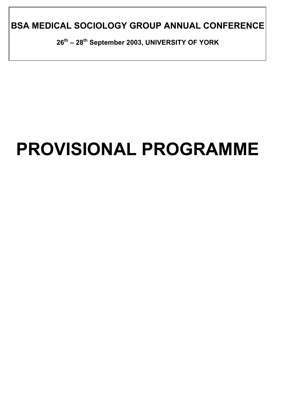**BSA MEDICAL SOCIOLOGY GROUP ANNUAL CONFERENCE** 

**26th – 28th September 2003, UNIVERSITY OF YORK** 

# **PROVISIONAL PROGRAMME**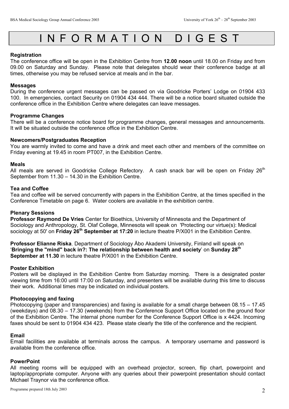## INFORMATION DIGEST

#### **Registration**

The conference office will be open in the Exhibition Centre from **12.00 noon** until 18.00 on Friday and from 09.00 on Saturday and Sunday. Please note that delegates should wear their conference badge at all times, otherwise you may be refused service at meals and in the bar.

#### **Messages**

During the conference urgent messages can be passed on via Goodricke Porters' Lodge on 01904 433 100. In emergencies, contact Security on 01904 434 444. There will be a notice board situated outside the conference office in the Exhibition Centre where delegates can leave messages.

#### **Programme Changes**

There will be a conference notice board for programme changes, general messages and announcements. It will be situated outside the conference office in the Exhibition Centre.

#### **Newcomers/Postgraduates Reception**

You are warmly invited to come and have a drink and meet each other and members of the committee on Friday evening at 19.45 in room PT007, in the Exhibition Centre.

#### **Meals**

All meals are served in Goodricke College Refectory. A cash snack bar will be open on Friday  $26<sup>th</sup>$ September from 11.30 – 14.30 in the Exhibition Centre.

#### **Tea and Coffee**

Tea and coffee will be served concurrently with papers in the Exhibition Centre, at the times specified in the Conference Timetable on page 6. Water coolers are available in the exhibition centre.

#### **Plenary Sessions**

**Professor Raymond De Vries** Center for Bioethics, University of Minnesota and the Department of Sociology and Anthropology, St. Olaf College, Minnesota will speak on 'Protecting our virtue(s): Medical sociology at 50' on **Friday 26th September at 17:20** in lecture theatre P/X001 in the Exhibition Centre.

**Professor Elianne Riska**, Department of Sociology Åbo Akademi University, Finland will speak on '**Bringing the "mind" back in?: The relationship between health and society**' on **Sunday 28th September at 11.30** in lecture theatre P/X001 in the Exhibition Centre.

#### **Poster Exhibition**

Posters will be displayed in the Exhibition Centre from Saturday morning. There is a designated poster viewing time from 16:00 until 17:00 on Saturday, and presenters will be available during this time to discuss their work. Additional times may be indicated on individual posters.

#### **Photocopying and faxing**

Photocopying (paper and transparencies) and faxing is available for a small charge between 08.15 – 17.45 (weekdays) and 08.30 – 17.30 (weekends) from the Conference Support Office located on the ground floor of the Exhibition Centre. The internal phone number for the Conference Support Office is x 4424. Incoming faxes should be sent to 01904 434 423. Please state clearly the title of the conference and the recipient.

#### **Email**

Email facilities are available at terminals across the campus. A temporary username and password is available from the conference office.

#### **PowerPoint**

All meeting rooms will be equipped with an overhead projector, screen, flip chart, powerpoint and laptop/appropriate computer. Anyone with any queries about their powerpoint presentation should contact Michael Traynor via the conference office.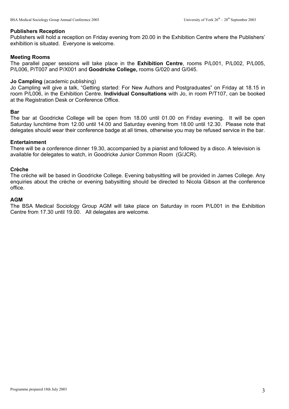#### **Publishers Reception**

Publishers will hold a reception on Friday evening from 20.00 in the Exhibition Centre where the Publishers' exhibition is situated. Everyone is welcome.

#### **Meeting Rooms**

The parallel paper sessions will take place in the **Exhibition Centre**, rooms P/L001, P/L002, P/L005, P/L006, P/T007 and P/X001 and **Goodricke College,** rooms G/020 and G/045.

#### **Jo Campling** (academic publishing)

Jo Campling will give a talk, "Getting started: For New Authors and Postgraduates" on Friday at 18.15 in room P/L006, in the Exhibition Centre. **Individual Consultations** with Jo, in room P/T107, can be booked at the Registration Desk or Conference Office.

#### **Bar**

The bar at Goodricke College will be open from 18.00 until 01.00 on Friday evening. It will be open Saturday lunchtime from 12.00 until 14.00 and Saturday evening from 18.00 until 12.30. Please note that delegates should wear their conference badge at all times, otherwise you may be refused service in the bar.

#### **Entertainment**

There will be a conference dinner 19.30, accompanied by a pianist and followed by a disco. A television is available for delegates to watch, in Goodricke Junior Common Room (G/JCR).

#### **Crèche**

The crèche will be based in Goodricke College. Evening babysitting will be provided in James College. Any enquiries about the crèche or evening babysitting should be directed to Nicola Gibson at the conference office.

#### **AGM**

The BSA Medical Sociology Group AGM will take place on Saturday in room P/L001 in the Exhibition Centre from 17.30 until 19.00. All delegates are welcome.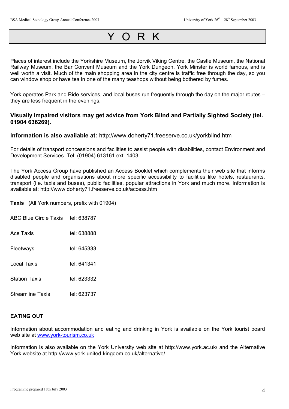## YORK

Places of interest include the Yorkshire Museum, the Jorvik Viking Centre, the Castle Museum, the National Railway Museum, the Bar Convent Museum and the York Dungeon. York Minster is world famous, and is well worth a visit. Much of the main shopping area in the city centre is traffic free through the day, so you can window shop or have tea in one of the many teashops without being bothered by fumes.

York operates Park and Ride services, and local buses run frequently through the day on the major routes – they are less frequent in the evenings.

#### **Visually impaired visitors may get advice from York Blind and Partially Sighted Society (tel. 01904 636269).**

**Information is also available at:** http://www.doherty71.freeserve.co.uk/yorkblind.htm

For details of transport concessions and facilities to assist people with disabilities, contact Environment and Development Services. Tel: (01904) 613161 ext. 1403.

The York Access Group have published an Access Booklet which complements their web site that informs disabled people and organisations about more specific accessibility to facilities like hotels, restaurants, transport (i.e. taxis and buses), public facilities, popular attractions in York and much more. Information is available at: http://www.doherty71.freeserve.co.uk/access.htm

**Taxis** (All York numbers, prefix with 01904)

| ABC Blue Circle Taxis tel: 638787 |  |
|-----------------------------------|--|
|                                   |  |

- Ace Taxis tel: 638888
- Fleetways tel: 645333
- Local Taxis tel: 641341
- Station Taxis tel: 623332

Streamline Taxis tel: 623737

#### **EATING OUT**

Information about accommodation and eating and drinking in York is available on the York tourist board web site at [www.york-tourism.co.uk](http://www.yorktourism.co.uk/) 

Information is also available on the York University web site at http://www.york.ac.uk/ and the Alternative York website at http://www.york-united-kingdom.co.uk/alternative/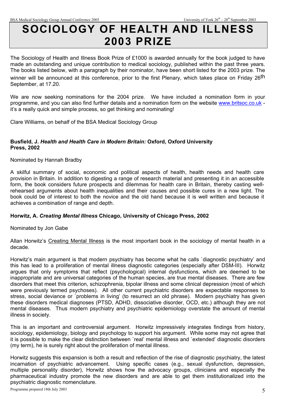## **SOCIOLOGY OF HEALTH AND ILLNESS 2003 PRIZE**

The Sociology of Health and Illness Book Prize of £1000 is awarded annually for the book judged to have made an outstanding and unique contribution to medical sociology, published within the past three years. The books listed below, with a paragraph by their nominator, have been short listed for the 2003 prize. The winner will be announced at this conference, prior to the first Plenary, which takes place on Friday 26<sup>th</sup> September, at 17.20.

We are now seeking nominations for the 2004 prize. We have included a nomination form in your programme, and you can also find further details and a nomination form on the website [www.britsoc.co.uk](http://www.britsoc.co.uk/)  it's a really quick and simple process, so get thinking and nominating!

Clare Williams, on behalf of the BSA Medical Sociology Group

#### **Busfield, J.** *Health and Health Care in Modern Britain:* **Oxford, Oxford University Press, 2002**

Nominated by Hannah Bradby

A skilful summary of social, economic and political aspects of health, health needs and health care provision in Britain. In addition to digesting a range of research material and presenting it in an accessible form, the book considers future prospects and dilemmas for health care in Britain, thereby casting wellrehearsed arguments about health inequalities and their causes and possible cures in a new light. The book could be of interest to both the novice and the old hand because it is well written and because it achieves a combination of range and depth.

#### **Horwitz, A.** *Creating Mental Illness* **Chicago, University of Chicago Press, 2002**

Nominated by Jon Gabe

Allan Horwitz's Creating Mental Illness is the most important book in the sociology of mental health in a decade.

Horwitz's main argument is that modern psychiatry has become what he calls `diagnostic psychiatry' and this has lead to a proliferation of mental illness diagnostic categories (especially after DSM-III). Horwitz argues that only symptoms that reflect (psychological) internal dysfunctions, which are deemed to be inappropriate and are universal categories of the human species, are true mental diseases. There are few disorders that meet this criterion, schizophrenia, bipolar illness and some clinical depression (most of which were previously termed psychoses). All other current psychiatric disorders are expectable responses to stress, social deviance or `problems in living' (to resurrect an old phrase). Modern psychiatry has given these disorders medical diagnoses (PTSD, ADHD, dissociative disorder, OCD, etc.) although they are not mental diseases. Thus modern psychiatry and psychiatric epidemiology overstate the amount of mental illness in society.

This is an important and controversial argument. Horwitz impressively integrates findings from history, sociology, epidemiology, biology and psychology to support his argument. While some may not agree that it is possible to make the clear distinction between `real' mental illness and `extended' diagnostic disorders (my term), he is surely right about the proliferation of mental illness.

Horwitz suggests this expansion is both a result and reflection of the rise of diagnostic psychiatry, the latest incarnation of psychiatric advancement. Using specific cases (e.g., sexual dysfunction, depression, multiple personality disorder), Horwitz shows how the advocacy groups, clinicians and especially the pharmaceutical industry promote the new disorders and are able to get them institutionalized into the psychiatric diagnostic nomenclature.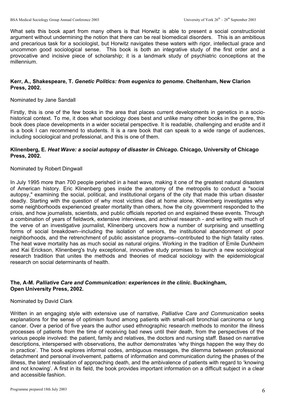What sets this book apart from many others is that Horwitz is able to present a social constructionist argument without undermining the notion that there can be real biomedical disorders. This is an ambitious and precarious task for a sociologist, but Horwitz navigates these waters with rigor, intellectual grace and uncommon good sociological sense. This book is both an integrative study of the first order and a provocative and incisive piece of scholarship; it is a landmark study of psychiatric conceptions at the millennium.

#### **Kerr, A., Shakespeare, T.** *Genetic Politics: from eugenics to genome.* **Cheltenham, New Clarion Press, 2002.**

#### Nominated by Jane Sandall

Firstly, this is one of the few books in the area that places current developments in genetics in a sociohistorical context. To me, it does what sociology does best and unlike many other books in the genre, this book does place developments in a wider societal perspective. It is readable, challenging and erudite and it is a book I can recommend to students. It is a rare book that can speak to a wide range of audiences, including sociological and professional, and this is one of them.

#### **Klinenberg, E.** *Heat Wave: a social autopsy of disaster in Chicago.* **Chicago, University of Chicago Press, 2002.**

#### Nominated by Robert Dingwall

In July 1995 more than 700 people perished in a heat wave, making it one of the greatest natural disasters of American history. Eric Klinenberg goes inside the anatomy of the metropolis to conduct a "social autopsy," examining the social, political, and institutional organs of the city that made this urban disaster deadly. Starting with the question of why most victims died at home alone, Klinenberg investigates why some neighborhoods experienced greater mortality than others, how the city government responded to the crisis, and how journalists, scientists, and public officials reported on and explained these events. Through a combination of years of fieldwork, extensive interviews, and archival research - and writing with much of the verve of an investigative journalist, Klinenberg uncovers how a number of surprising and unsettling forms of social breakdown--including the isolation of seniors, the institutional abandonment of poor neighborhoods, and the retrenchment of public assistance programs--contributed to the high fatality rates. The heat wave mortality has as much social as natural origins. Working in the tradition of Emile Durkheim and Kai Erickson, Klinenberg's truly exceptional, innovative study promises to launch a new sociological research tradition that unites the methods and theories of medical sociology with the epidemiological research on social determinants of health.

#### **The, A-M.** *Palliative Care and Communication: experiences in the clinic.* **Buckingham, Open University Press, 2002.**

#### Nominated by David Clark

Written in an engaging style with extensive use of narrative, *Palliative Care and Communication* seeks explanations for the sense of optimism found among patients with small-cell bronchial carcinoma or lung cancer. Over a period of five years the author used ethnographic research methods to monitor the illness processes of patients from the time of receiving bad news until their death, from the perspectives of the various people involved: the patient, family and relatives, the doctors and nursing staff. Based on narrative descriptions, interspersed with observations, the author demonstrates 'why things happen the way they do in practice'. The book explores informal codes, ambiguous messages, the dilemma between professional detachment and personal involvement, patterns of information and communication during the phases of the illness, the latent realisation of approaching death, and the ambivalence of patients with regard to 'knowing and not knowing'. A first in its field, the book provides important information on a difficult subject in a clear and accessible fashion.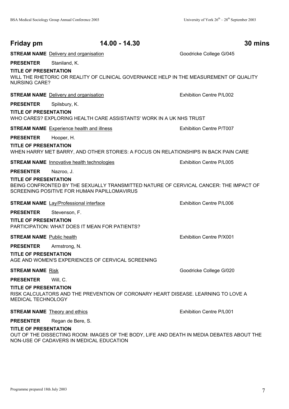| Friday pm                                            | 14.00 - 14.30                                                                                                                        | 30 mins                  |
|------------------------------------------------------|--------------------------------------------------------------------------------------------------------------------------------------|--------------------------|
|                                                      | <b>STREAM NAME</b> Delivery and organisation                                                                                         | Goodricke College G/045  |
| <b>PRESENTER</b>                                     | Staniland, K.                                                                                                                        |                          |
| <b>TITLE OF PRESENTATION</b><br><b>NURSING CARE?</b> | WILL THE RHETORIC OR REALITY OF CLINICAL GOVERNANCE HELP IN THE MEASUREMENT OF QUALITY                                               |                          |
|                                                      | <b>STREAM NAME</b> Delivery and organisation                                                                                         | Exhibition Centre P/L002 |
| <b>PRESENTER</b>                                     | Spilsbury, K.                                                                                                                        |                          |
| <b>TITLE OF PRESENTATION</b>                         | WHO CARES? EXPLORING HEALTH CARE ASSISTANTS' WORK IN A UK NHS TRUST                                                                  |                          |
|                                                      | <b>STREAM NAME</b> Experience health and illness                                                                                     | Exhibition Centre P/T007 |
| <b>PRESENTER</b>                                     | Hooper, H.                                                                                                                           |                          |
| <b>TITLE OF PRESENTATION</b>                         | WHEN HARRY MET BARRY, AND OTHER STORIES: A FOCUS ON RELATIONSHIPS IN BACK PAIN CARE                                                  |                          |
|                                                      | <b>STREAM NAME</b> Innovative health technologies                                                                                    | Exhibition Centre P/L005 |
| <b>PRESENTER</b>                                     | Nazroo, J.                                                                                                                           |                          |
| <b>TITLE OF PRESENTATION</b>                         | BEING CONFRONTED BY THE SEXUALLY TRANSMITTED NATURE OF CERVICAL CANCER: THE IMPACT OF<br>SCREENING POSITIVE FOR HUMAN PAPILLOMAVIRUS |                          |
|                                                      | <b>STREAM NAME</b> Lay/Professional interface                                                                                        | Exhibition Centre P/L006 |
| <b>PRESENTER</b>                                     | Stevenson, F.                                                                                                                        |                          |
| <b>TITLE OF PRESENTATION</b>                         | PARTICIPATION: WHAT DOES IT MEAN FOR PATIENTS?                                                                                       |                          |
| <b>STREAM NAME</b> Public health                     |                                                                                                                                      | Exhibition Centre P/X001 |
| <b>PRESENTER</b>                                     | Armstrong, N.                                                                                                                        |                          |
| <b>TITLE OF PRESENTATION</b>                         | AGE AND WOMEN'S EXPERIENCES OF CERVICAL SCREENING                                                                                    |                          |
| <b>STREAM NAME Risk</b>                              |                                                                                                                                      | Goodricke College G/020  |
| <b>PRESENTER</b>                                     | Will, C.                                                                                                                             |                          |
| <b>TITLE OF PRESENTATION</b><br>MEDICAL TECHNOLOGY   | RISK CALCULATORS AND THE PREVENTION OF CORONARY HEART DISEASE. LEARNING TO LOVE A                                                    |                          |
|                                                      | <b>STREAM NAME</b> Theory and ethics                                                                                                 | Exhibition Centre P/L001 |
| <b>PRESENTER</b>                                     | Regan de Bere, S.                                                                                                                    |                          |
| TITLE OF BREAENTATION                                |                                                                                                                                      |                          |

#### **TITLE OF PRESENTATION**

OUT OF THE DISSECTING ROOM: IMAGES OF THE BODY, LIFE AND DEATH IN MEDIA DEBATES ABOUT THE NON-USE OF CADAVERS IN MEDICAL EDUCATION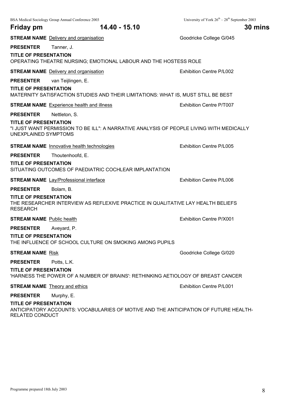|                                                      | BSA Medical Sociology Group Annual Conference 2003                                       | University of York $26^{th} - 28^{th}$ September 2003 |
|------------------------------------------------------|------------------------------------------------------------------------------------------|-------------------------------------------------------|
| Friday pm                                            | 14.40 - 15.10                                                                            | 30 mins                                               |
|                                                      | <b>STREAM NAME</b> Delivery and organisation                                             | Goodricke College G/045                               |
| <b>PRESENTER</b>                                     | Tanner, J.                                                                               |                                                       |
| <b>TITLE OF PRESENTATION</b>                         | OPERATING THEATRE NURSING; EMOTIONAL LABOUR AND THE HOSTESS ROLE                         |                                                       |
|                                                      | <b>STREAM NAME</b> Delivery and organisation                                             | Exhibition Centre P/L002                              |
| <b>PRESENTER</b>                                     | van Teijlingen, E.                                                                       |                                                       |
| <b>TITLE OF PRESENTATION</b>                         | MATERNITY SATISFACTION STUDIES AND THEIR LIMITATIONS: WHAT IS, MUST STILL BE BEST        |                                                       |
|                                                      | <b>STREAM NAME</b> Experience health and illness                                         | Exhibition Centre P/T007                              |
| <b>PRESENTER</b>                                     | Nettleton, S.                                                                            |                                                       |
| <b>TITLE OF PRESENTATION</b><br>UNEXPLAINED SYMPTOMS | "I JUST WANT PERMISSION TO BE ILL": A NARRATIVE ANALYSIS OF PEOPLE LIVING WITH MEDICALLY |                                                       |
|                                                      | <b>STREAM NAME</b> Innovative health technologies                                        | Exhibition Centre P/L005                              |
| <b>PRESENTER</b>                                     | Thoutenhoofd, E.                                                                         |                                                       |
| <b>TITLE OF PRESENTATION</b>                         | SITUATING OUTCOMES OF PAEDIATRIC COCHLEAR IMPLANTATION                                   |                                                       |
|                                                      | <b>STREAM NAME</b> Lay/Professional interface                                            | Exhibition Centre P/L006                              |
| <b>PRESENTER</b>                                     | Bolam, B.                                                                                |                                                       |
| <b>TITLE OF PRESENTATION</b><br><b>RESEARCH</b>      | THE RESEARCHER INTERVIEW AS REFLEXIVE PRACTICE IN QUALITATIVE LAY HEALTH BELIEFS         |                                                       |
| <b>STREAM NAME</b> Public health                     |                                                                                          | Exhibition Centre P/X001                              |
| <b>PRESENTER</b>                                     | Aveyard, P.                                                                              |                                                       |
| <b>TITLE OF PRESENTATION</b>                         | THE INFLUENCE OF SCHOOL CULTURE ON SMOKING AMONG PUPILS                                  |                                                       |
| <b>STREAM NAME Risk</b>                              |                                                                                          | Goodricke College G/020                               |
| <b>PRESENTER</b>                                     | Potts, L.K.                                                                              |                                                       |
| <b>TITLE OF PRESENTATION</b>                         | 'HARNESS THE POWER OF A NUMBER OF BRAINS': RETHINKING AETIOLOGY OF BREAST CANCER         |                                                       |
|                                                      | <b>STREAM NAME</b> Theory and ethics                                                     | <b>Exhibition Centre P/L001</b>                       |
| <b>PRESENTER</b>                                     | Murphy, E.                                                                               |                                                       |
| <b>TITLE OF PRESENTATION</b><br>RELATED CONDUCT      | ANTICIPATORY ACCOUNTS: VOCABULARIES OF MOTIVE AND THE ANTICIPATION OF FUTURE HEALTH-     |                                                       |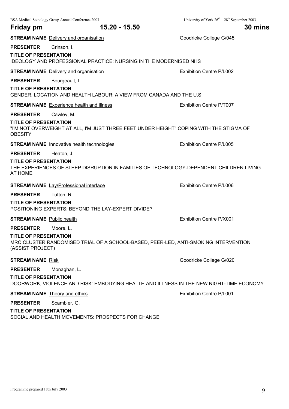|                                                  | BSA Medical Sociology Group Annual Conference 2003                                      | University of York $26^{th} - 28^{th}$ September 2003 |
|--------------------------------------------------|-----------------------------------------------------------------------------------------|-------------------------------------------------------|
| Friday pm                                        | 15.20 - 15.50                                                                           | 30 mins                                               |
|                                                  | <b>STREAM NAME</b> Delivery and organisation                                            | Goodricke College G/045                               |
| <b>PRESENTER</b>                                 | Crinson, I.                                                                             |                                                       |
| <b>TITLE OF PRESENTATION</b>                     | <b>IDEOLOGY AND PROFESSIONAL PRACTICE: NURSING IN THE MODERNISED NHS</b>                |                                                       |
|                                                  | <b>STREAM NAME</b> Delivery and organisation                                            | Exhibition Centre P/L002                              |
| <b>PRESENTER</b>                                 | Bourgeault, I.                                                                          |                                                       |
| <b>TITLE OF PRESENTATION</b>                     | GENDER, LOCATION AND HEALTH LABOUR: A VIEW FROM CANADA AND THE U.S.                     |                                                       |
|                                                  | <b>STREAM NAME</b> Experience health and illness                                        | Exhibition Centre P/T007                              |
| <b>PRESENTER</b>                                 | Cawley, M.                                                                              |                                                       |
| <b>TITLE OF PRESENTATION</b><br><b>OBESITY</b>   | "I'M NOT OVERWEIGHT AT ALL, I'M JUST THREE FEET UNDER HEIGHT" COPING WITH THE STIGMA OF |                                                       |
|                                                  | <b>STREAM NAME</b> Innovative health technologies                                       | Exhibition Centre P/L005                              |
| <b>PRESENTER</b>                                 | Heaton, J.                                                                              |                                                       |
| <b>TITLE OF PRESENTATION</b><br>AT HOME          | THE EXPERIENCES OF SLEEP DISRUPTION IN FAMILIES OF TECHNOLOGY-DEPENDENT CHILDREN LIVING |                                                       |
|                                                  | <b>STREAM NAME</b> Lay/Professional interface                                           | Exhibition Centre P/L006                              |
| <b>PRESENTER</b>                                 | Tutton, R.                                                                              |                                                       |
| <b>TITLE OF PRESENTATION</b>                     | POSITIONING EXPERTS: BEYOND THE LAY-EXPERT DIVIDE?                                      |                                                       |
| <b>STREAM NAME</b> Public health                 |                                                                                         | Exhibition Centre P/X001                              |
| <b>PRESENTER</b>                                 | Moore, L.                                                                               |                                                       |
| <b>TITLE OF PRESENTATION</b><br>(ASSIST PROJECT) | MRC CLUSTER RANDOMISED TRIAL OF A SCHOOL-BASED, PEER-LED, ANTI-SMOKING INTERVENTION     |                                                       |
| <b>STREAM NAME Risk</b>                          |                                                                                         | Goodricke College G/020                               |
| <b>PRESENTER</b>                                 | Monaghan, L.                                                                            |                                                       |
| <b>TITLE OF PRESENTATION</b>                     | DOORWORK, VIOLENCE AND RISK: EMBODYING HEALTH AND ILLNESS IN THE NEW NIGHT-TIME ECONOMY |                                                       |
|                                                  | <b>STREAM NAME</b> Theory and ethics                                                    | Exhibition Centre P/L001                              |
| <b>PRESENTER</b>                                 | Scambler, G.                                                                            |                                                       |
| <b>TITLE OF PRESENTATION</b>                     | SOCIAL AND HEALTH MOVEMENTS: PROSPECTS FOR CHANGE                                       |                                                       |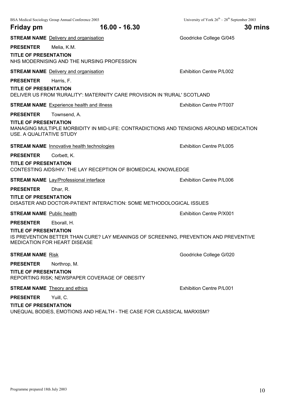|                                                          | BSA Medical Sociology Group Annual Conference 2003                                                                   | University of York $26^{th} - 28^{th}$ September 2003 |
|----------------------------------------------------------|----------------------------------------------------------------------------------------------------------------------|-------------------------------------------------------|
| Friday pm                                                | 16.00 - 16.30                                                                                                        | 30 mins                                               |
|                                                          | <b>STREAM NAME</b> Delivery and organisation                                                                         | Goodricke College G/045                               |
| <b>PRESENTER</b>                                         | Melia, K.M.                                                                                                          |                                                       |
| <b>TITLE OF PRESENTATION</b>                             | NHS MODERNISING AND THE NURSING PROFESSION                                                                           |                                                       |
|                                                          | <b>STREAM NAME</b> Delivery and organisation                                                                         | Exhibition Centre P/L002                              |
| <b>PRESENTER</b>                                         | Harris, F.                                                                                                           |                                                       |
| <b>TITLE OF PRESENTATION</b>                             | DELIVER US FROM 'RURALITY': MATERNITY CARE PROVISION IN 'RURAL' SCOTLAND                                             |                                                       |
|                                                          | <b>STREAM NAME</b> Experience health and illness                                                                     | Exhibition Centre P/T007                              |
| <b>PRESENTER</b>                                         | Townsend, A.                                                                                                         |                                                       |
| <b>TITLE OF PRESENTATION</b><br>USE. A QUALITATIVE STUDY | MANAGING MULTIPLE MORBIDITY IN MID-LIFE: CONTRADICTIONS AND TENSIONS AROUND MEDICATION                               |                                                       |
|                                                          | <b>STREAM NAME</b> Innovative health technologies                                                                    | Exhibition Centre P/L005                              |
| <b>PRESENTER</b>                                         | Corbett, K.                                                                                                          |                                                       |
| <b>TITLE OF PRESENTATION</b>                             | CONTESTING AIDS/HIV: THE LAY RECEPTION OF BIOMEDICAL KNOWLEDGE                                                       |                                                       |
|                                                          | <b>STREAM NAME</b> Lay/Professional interface                                                                        | Exhibition Centre P/L006                              |
| <b>PRESENTER</b>                                         | Dhar, R.                                                                                                             |                                                       |
| <b>TITLE OF PRESENTATION</b>                             | DISASTER AND DOCTOR-PATIENT INTERACTION: SOME METHODOLOGICAL ISSUES                                                  |                                                       |
| <b>STREAM NAME</b> Public health                         |                                                                                                                      | Exhibition Centre P/X001                              |
| <b>PRESENTER</b>                                         | Eborall, H.                                                                                                          |                                                       |
| <b>TITLE OF PRESENTATION</b>                             | IS PREVENTION BETTER THAN CURE? LAY MEANINGS OF SCREENING, PREVENTION AND PREVENTIVE<br>MEDICATION FOR HEART DISEASE |                                                       |
| <b>STREAM NAME Risk</b>                                  |                                                                                                                      | Goodricke College G/020                               |
| <b>PRESENTER</b>                                         | Northrop, M.                                                                                                         |                                                       |
| <b>TITLE OF PRESENTATION</b>                             | REPORTING RISK; NEWSPAPER COVERAGE OF OBESITY                                                                        |                                                       |
|                                                          | <b>STREAM NAME</b> Theory and ethics                                                                                 | <b>Exhibition Centre P/L001</b>                       |
| <b>PRESENTER</b>                                         | Yuill, C.                                                                                                            |                                                       |
| <b>TITLE OF PRESENTATION</b>                             |                                                                                                                      |                                                       |

UNEQUAL BODIES, EMOTIONS AND HEALTH - THE CASE FOR CLASSICAL MARXISM?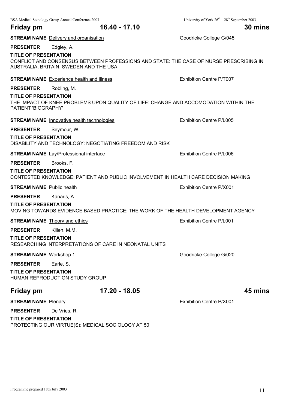|                                                     | <b>STREAM NAME</b> Delivery and organisation                                                                                     | Goodricke College G/045         |
|-----------------------------------------------------|----------------------------------------------------------------------------------------------------------------------------------|---------------------------------|
| <b>PRESENTER</b>                                    | Edgley, A.                                                                                                                       |                                 |
| <b>TITLE OF PRESENTATION</b>                        | CONFLICT AND CONSENSUS BETWEEN PROFESSIONS AND STATE: THE CASE OF NURSE PRESCRIBING IN<br>AUSTRALIA, BRITAIN, SWEDEN AND THE USA |                                 |
|                                                     | <b>STREAM NAME</b> Experience health and illness                                                                                 | Exhibition Centre P/T007        |
| <b>PRESENTER</b>                                    | Robling, M.                                                                                                                      |                                 |
| <b>TITLE OF PRESENTATION</b><br>PATIENT 'BIOGRAPHY' | THE IMPACT OF KNEE PROBLEMS UPON QUALITY OF LIFE: CHANGE AND ACCOMODATION WITHIN THE                                             |                                 |
|                                                     | <b>STREAM NAME</b> Innovative health technologies                                                                                | <b>Exhibition Centre P/L005</b> |
| <b>PRESENTER</b>                                    | Seymour, W.                                                                                                                      |                                 |
| <b>TITLE OF PRESENTATION</b>                        | DISABILITY AND TECHNOLOGY: NEGOTIATING FREEDOM AND RISK                                                                          |                                 |
|                                                     | <b>STREAM NAME</b> Lay/Professional interface                                                                                    | <b>Exhibition Centre P/L006</b> |
| <b>PRESENTER</b><br><b>TITLE OF PRESENTATION</b>    | Brooks, F.<br>CONTESTED KNOWLEDGE: PATIENT AND PUBLIC INVOLVEMENT IN HEALTH CARE DECISION MAKING                                 |                                 |
| <b>STREAM NAME</b> Public health                    |                                                                                                                                  | Exhibition Centre P/X001        |
| <b>PRESENTER</b>                                    | Kanaris, A.                                                                                                                      |                                 |
| <b>TITLE OF PRESENTATION</b>                        | MOVING TOWARDS EVIDENCE BASED PRACTICE: THE WORK OF THE HEALTH DEVELOPMENT AGENCY                                                |                                 |
|                                                     | <b>STREAM NAME</b> Theory and ethics                                                                                             | Exhibition Centre P/L001        |
| <b>PRESENTER</b>                                    | Killen, M.M.                                                                                                                     |                                 |
| <b>TITLE OF PRESENTATION</b>                        | RESEARCHING INTERPRETATIONS OF CARE IN NEONATAL UNITS                                                                            |                                 |
| <b>STREAM NAME Workshop 1</b>                       |                                                                                                                                  | Goodricke College G/020         |
| <b>PRESENTER</b>                                    | Earle, S.                                                                                                                        |                                 |
| <b>TITLE OF PRESENTATION</b>                        | HUMAN REPRODUCTION STUDY GROUP                                                                                                   |                                 |
| <b>Friday pm</b>                                    | 17.20 - 18.05                                                                                                                    | 45 mins                         |
| <b>STREAM NAME Plenary</b>                          |                                                                                                                                  | Exhibition Centre P/X001        |
| <b>PRESENTER</b>                                    | De Vries, R.                                                                                                                     |                                 |
| <b>TITLE OF PRESENTATION</b>                        | PROTECTING OUR VIRTUE(S): MEDICAL SOCIOLOGY AT 50                                                                                |                                 |

**Friday pm 16.40 - 17.10 30 mins**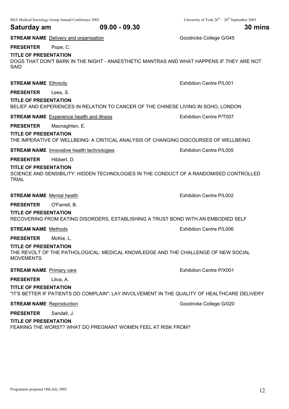Programme prepared 18th July 2003 12

BSA Medical Sociology Group Annual Conference 2003 University of York 26<sup>th</sup> – 28<sup>th</sup> September 2003 **Saturday am 09.00 - 09.30 30 mins STREAM NAME** Delivery and organisation Goodricke College G/045 **PRESENTER** Pope, C. **TITLE OF PRESENTATION** DOGS THAT DON'T BARK IN THE NIGHT - ANAESTHETIC MANTRAS AND WHAT HAPPENS IF THEY ARE NOT SAID **STREAM NAME** Ethnicity **Exhibition Centre P/L001 PRESENTER** Lees, S. **TITLE OF PRESENTATION** BELIEF AND EXPERIENCES IN RELATION TO CANCER OF THE CHINESE LIVING IN SOHO, LONDON **STREAM NAME** Experience health and illness **EXALL EXALL EXALL** Exhibition Centre P/T007 **PRESENTER** Macnaghten, E. **TITLE OF PRESENTATION** THE IMPERATIVE OF WELLBEING: A CRITICAL ANALYSIS OF CHANGING DISCOURSES OF WELLBEING **STREAM NAME** Innovative health technologies **EXHIBITION** Exhibition Centre P/L005 **PRESENTER** Hibbert, D. **TITLE OF PRESENTATION** SCIENCE AND SENSIBILITY: HIDDEN TECHNOLOGIES IN THE CONDUCT OF A RANDOMISED CONTROLLED **TRIAL STREAM NAME** Mental health **Exhibition Centre P/L002 PRESENTER** O'Farrell, B. **TITLE OF PRESENTATION** RECOVERING FROM EATING DISORDERS, ESTABLISHING A TRUST BOND WITH AN EMBODIED SELF **STREAM NAME** Methods **Exhibition Centre P/L006 PRESENTER** McKie, L. **TITLE OF PRESENTATION** THE REVOLT OF THE PATHOLOGICAL: MEDICAL KNOWLEDGE AND THE CHALLENGE OF NEW SOCIAL MOVEMENTS **STREAM NAME** Primary care **Exhibition Centre P/X001 PRESENTER** Litva, A.

**TITLE OF PRESENTATION**

"IT'S BETTER IF PATIENTS DO COMPLAIN": LAY INVOLVEMENT IN THE QUALITY OF HEALTHCARE DELIVERY

**STREAM NAME** Reproduction **Goodricke College G/020 Goodricke College G/020** 

**PRESENTER** Sandall, J.

#### **TITLE OF PRESENTATION**

FEARING THE WORST? WHAT DO PREGNANT WOMEN FEEL AT RISK FROM?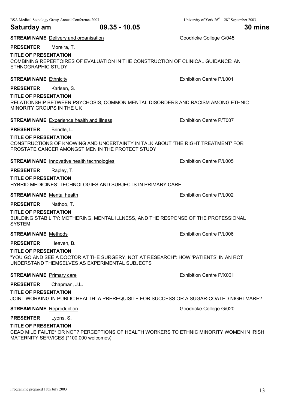### **Saturday am 09.35 - 10.05 30 mins**

**STREAM NAME** Delivery and organisation Goodricke College G/045

**PRESENTER** Moreira, T.

#### **TITLE OF PRESENTATION**

COMBINING REPERTOIRES OF EVALUATION IN THE CONSTRUCTION OF CLINICAL GUIDANCE: AN ETHNOGRAPHIC STUDY

#### **STREAM NAME** Ethnicity **Exhibition Centre P/L001**

**PRESENTER** Karlsen, S.

#### **TITLE OF PRESENTATION**

RELATIONSHIP BETWEEN PSYCHOSIS, COMMON MENTAL DISORDERS AND RACISM AMONG ETHNIC MINORITY GROUPS IN THE UK

#### **STREAM NAME** Experience health and illness Exhibition Centre P/T007

#### **PRESENTER** Brindle, L.

#### **TITLE OF PRESENTATION**

CONSTRUCTIONS OF KNOWING AND UNCERTAINTY IN TALK ABOUT 'THE RIGHT TREATMENT' FOR PROSTATE CANCER AMONGST MEN IN THE PROTECT STUDY

**STREAM NAME** Innovative health technologies **EXHIBITION** Exhibition Centre P/L005

#### **PRESENTER** Rapley, T.

#### **TITLE OF PRESENTATION**

HYBRID MEDICINES: TECHNOLOGIES AND SUBJECTS IN PRIMARY CARE

#### **STREAM NAME** Mental health **Exhibition Centre P/L002**

**PRESENTER** Nathoo, T.

#### **TITLE OF PRESENTATION**

BUILDING STABILITY: MOTHERING, MENTAL ILLNESS, AND THE RESPONSE OF THE PROFESSIONAL **SYSTEM** 

#### **STREAM NAME** Methods **Exhibition Centre P/L006**

#### **PRESENTER** Heaven, B.

#### **TITLE OF PRESENTATION**

"YOU GO AND SEE A DOCTOR AT THE SURGERY, NOT AT RESEARCH": HOW 'PATIENTS' IN AN RCT UNDERSTAND THEMSELVES AS EXPERIMENTAL SUBJECTS

#### **STREAM NAME** Primary care **Exhibition Centre P/X001**

### **PRESENTER** Chapman, J.L.

#### **TITLE OF PRESENTATION**

#### JOINT WORKING IN PUBLIC HEALTH: A PREREQUISITE FOR SUCCESS OR A SUGAR-COATED NIGHTMARE?

**STREAM NAME** Reproduction **Goodrick College G/020 Goodricke College G/020** 

#### **PRESENTER** Lyons, S.

#### **TITLE OF PRESENTATION**

CEAD MILE FAILTE\* OR NOT? PERCEPTIONS OF HEALTH WORKERS TO ETHNIC MINORITY WOMEN IN IRISH MATERNITY SERVICES.(\*100,000 welcomes)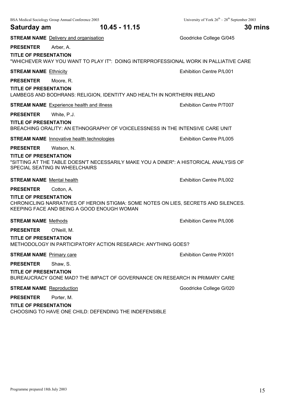|                                  | BSA Medical Sociology Group Annual Conference 2003                                                                               | University of York $26^{th} - 28^{th}$ September 2003 |
|----------------------------------|----------------------------------------------------------------------------------------------------------------------------------|-------------------------------------------------------|
| Saturday am                      | 10.45 - 11.15                                                                                                                    | 30 mins                                               |
|                                  | <b>STREAM NAME</b> Delivery and organisation                                                                                     | Goodricke College G/045                               |
| <b>PRESENTER</b>                 | Arber, A.                                                                                                                        |                                                       |
| <b>TITLE OF PRESENTATION</b>     | "WHICHEVER WAY YOU WANT TO PLAY IT": DOING INTERPROFESSIONAL WORK IN PALLIATIVE CARE                                             |                                                       |
| <b>STREAM NAME Ethnicity</b>     |                                                                                                                                  | <b>Exhibition Centre P/L001</b>                       |
| <b>PRESENTER</b>                 | Moore, R.                                                                                                                        |                                                       |
| <b>TITLE OF PRESENTATION</b>     | LAMBEGS AND BODHRANS: RELIGION, IDENTITY AND HEALTH IN NORTHERN IRELAND                                                          |                                                       |
|                                  | <b>STREAM NAME</b> Experience health and illness                                                                                 | Exhibition Centre P/T007                              |
| <b>PRESENTER</b>                 | White, P.J.                                                                                                                      |                                                       |
| <b>TITLE OF PRESENTATION</b>     | BREACHING ORALITY: AN ETHNOGRAPHY OF VOICELESSNESS IN THE INTENSIVE CARE UNIT                                                    |                                                       |
|                                  | <b>STREAM NAME</b> Innovative health technologies                                                                                | <b>Exhibition Centre P/L005</b>                       |
| <b>PRESENTER</b>                 | Watson, N.                                                                                                                       |                                                       |
| <b>TITLE OF PRESENTATION</b>     | "SITTING AT THE TABLE DOESN'T NECESSARILY MAKE YOU A DINER": A HISTORICAL ANALYSIS OF<br>SPECIAL SEATING IN WHEELCHAIRS          |                                                       |
| <b>STREAM NAME</b> Mental health |                                                                                                                                  | Exhibition Centre P/L002                              |
| <b>PRESENTER</b>                 | Cotton, A.                                                                                                                       |                                                       |
| <b>TITLE OF PRESENTATION</b>     | CHRONICLING NARRATIVES OF HEROIN STIGMA: SOME NOTES ON LIES, SECRETS AND SILENCES.<br>KEEPING FACE AND BEING A GOOD ENOUGH WOMAN |                                                       |
| <b>STREAM NAME Methods</b>       |                                                                                                                                  | Exhibition Centre P/L006                              |
| <b>PRESENTER</b>                 | O'Neill, M.                                                                                                                      |                                                       |
| <b>TITLE OF PRESENTATION</b>     | METHODOLOGY IN PARTICIPATORY ACTION RESEARCH: ANYTHING GOES?                                                                     |                                                       |
| <b>STREAM NAME</b> Primary care  |                                                                                                                                  | Exhibition Centre P/X001                              |
| <b>PRESENTER</b>                 | Shaw, S.                                                                                                                         |                                                       |
| <b>TITLE OF PRESENTATION</b>     | BUREAUCRACY GONE MAD? THE IMPACT OF GOVERNANCE ON RESEARCH IN PRIMARY CARE                                                       |                                                       |
| <b>STREAM NAME</b> Reproduction  |                                                                                                                                  | Goodricke College G/020                               |
| <b>PRESENTER</b>                 | Porter, M.                                                                                                                       |                                                       |
| <b>TITLE OF PRESENTATION</b>     | CHOOSING TO HAVE ONE CHILD: DEFENDING THE INDEFENSIBLE                                                                           |                                                       |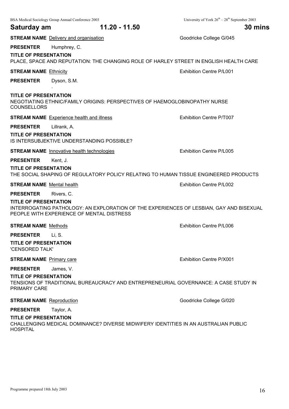|                                                     | BSA Medical Sociology Group Annual Conference 2003                                                                                   | University of York $26^{th} - 28^{th}$ September 2003 |
|-----------------------------------------------------|--------------------------------------------------------------------------------------------------------------------------------------|-------------------------------------------------------|
| Saturday am                                         | 11.20 - 11.50                                                                                                                        | 30 mins                                               |
|                                                     | <b>STREAM NAME</b> Delivery and organisation                                                                                         | Goodricke College G/045                               |
| <b>PRESENTER</b>                                    | Humphrey, C.                                                                                                                         |                                                       |
| <b>TITLE OF PRESENTATION</b>                        | PLACE, SPACE AND REPUTATION: THE CHANGING ROLE OF HARLEY STREET IN ENGLISH HEALTH CARE                                               |                                                       |
| <b>STREAM NAME Ethnicity</b>                        |                                                                                                                                      | <b>Exhibition Centre P/L001</b>                       |
| <b>PRESENTER</b>                                    | Dyson, S.M.                                                                                                                          |                                                       |
| <b>TITLE OF PRESENTATION</b><br><b>COUNSELLORS</b>  | NEGOTIATING ETHNIC/FAMILY ORIGINS: PERSPECTIVES OF HAEMOGLOBINOPATHY NURSE                                                           |                                                       |
|                                                     | <b>STREAM NAME</b> Experience health and illness                                                                                     | Exhibition Centre P/T007                              |
| <b>PRESENTER</b>                                    | Lillrank, A.                                                                                                                         |                                                       |
| <b>TITLE OF PRESENTATION</b>                        | IS INTERSUBJEKTIVE UNDERSTANDING POSSIBLE?                                                                                           |                                                       |
|                                                     | <b>STREAM NAME</b> Innovative health technologies                                                                                    | Exhibition Centre P/L005                              |
| <b>PRESENTER</b>                                    | Kent, J.                                                                                                                             |                                                       |
| <b>TITLE OF PRESENTATION</b>                        | THE SOCIAL SHAPING OF REGULATORY POLICY RELATING TO HUMAN TISSUE ENGINEERED PRODUCTS                                                 |                                                       |
| <b>STREAM NAME</b> Mental health                    |                                                                                                                                      | <b>Exhibition Centre P/L002</b>                       |
| <b>PRESENTER</b>                                    | Rivers, C.                                                                                                                           |                                                       |
| <b>TITLE OF PRESENTATION</b>                        | INTERROGATING PATHOLOGY: AN EXPLORATION OF THE EXPERIENCES OF LESBIAN, GAY AND BISEXUAL<br>PEOPLE WITH EXPERIENCE OF MENTAL DISTRESS |                                                       |
| <b>STREAM NAME</b> Methods                          |                                                                                                                                      | Exhibition Centre P/L006                              |
| <b>PRESENTER</b>                                    | Li, S.                                                                                                                               |                                                       |
| <b>TITLE OF PRESENTATION</b><br>'CENSORED TALK'     |                                                                                                                                      |                                                       |
| <b>STREAM NAME</b> Primary care                     |                                                                                                                                      | Exhibition Centre P/X001                              |
| <b>PRESENTER</b>                                    | James, V.                                                                                                                            |                                                       |
| <b>TITLE OF PRESENTATION</b><br><b>PRIMARY CARE</b> | TENSIONS OF TRADITIONAL BUREAUCRACY AND ENTREPRENEURIAL GOVERNANCE: A CASE STUDY IN                                                  |                                                       |
| <b>STREAM NAME</b> Reproduction                     |                                                                                                                                      | Goodricke College G/020                               |
| <b>PRESENTER</b>                                    | Taylor, A.                                                                                                                           |                                                       |
| <b>TITLE OF PRESENTATION</b><br><b>HOSPITAL</b>     | CHALLENGING MEDICAL DOMINANCE? DIVERSE MIDWIFERY IDENTITIES IN AN AUSTRALIAN PUBLIC                                                  |                                                       |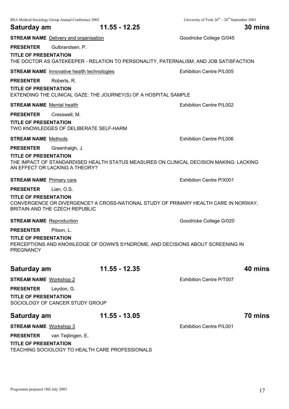|                                                  | BSA Medical Sociology Group Annual Conference 2003 |                                                                                       | University of York $26^{th} - 28^{th}$ September 2003                                  |  |
|--------------------------------------------------|----------------------------------------------------|---------------------------------------------------------------------------------------|----------------------------------------------------------------------------------------|--|
| Saturday am                                      |                                                    | 11.55 - 12.25                                                                         | 30 mins                                                                                |  |
|                                                  | <b>STREAM NAME</b> Delivery and organisation       |                                                                                       | Goodricke College G/045                                                                |  |
| <b>PRESENTER</b>                                 | Gulbrandsen, P.                                    |                                                                                       |                                                                                        |  |
| <b>TITLE OF PRESENTATION</b>                     |                                                    | THE DOCTOR AS GATEKEEPER - RELATION TO PERSONALITY, PATERNALISM, AND JOB SATISFACTION |                                                                                        |  |
|                                                  | <b>STREAM NAME</b> Innovative health technologies  |                                                                                       | Exhibition Centre P/L005                                                               |  |
| <b>PRESENTER</b>                                 | Roberts, R.                                        |                                                                                       |                                                                                        |  |
| <b>TITLE OF PRESENTATION</b>                     |                                                    | EXTENDING THE CLINICAL GAZE: THE JOURNEY(S) OF A HOSPITAL SAMPLE                      |                                                                                        |  |
| <b>STREAM NAME</b> Mental health                 |                                                    |                                                                                       | <b>Exhibition Centre P/L002</b>                                                        |  |
| <b>PRESENTER</b>                                 | Cresswell, M.                                      |                                                                                       |                                                                                        |  |
| <b>TITLE OF PRESENTATION</b>                     | TWO KNOWLEDGES OF DELIBERATE SELF-HARM             |                                                                                       |                                                                                        |  |
| <b>STREAM NAME</b> Methods                       |                                                    |                                                                                       | Exhibition Centre P/L006                                                               |  |
| <b>PRESENTER</b>                                 | Greenhalgh, J.                                     |                                                                                       |                                                                                        |  |
| <b>TITLE OF PRESENTATION</b>                     | AN EFFECT OR LACKING A THEORY?                     |                                                                                       | THE IMPACT OF STANDARDISED HEALTH STATUS MEASURES ON CLINICAL DECISION MAKING: LACKING |  |
| <b>STREAM NAME</b> Primary care                  |                                                    |                                                                                       | Exhibition Centre P/X001                                                               |  |
| <b>PRESENTER</b>                                 | Lian, O.S.                                         |                                                                                       |                                                                                        |  |
| <b>TITLE OF PRESENTATION</b>                     | BRITAIN AND THE CZECH REPUBLIC                     |                                                                                       | CONVERGENCE OR DIVERGENCE? A CROSS-NATIONAL STUDY OF PRIMARY HEALTH CARE IN NORWAY,    |  |
| <b>STREAM NAME</b> Reproduction                  |                                                    |                                                                                       | Goodricke College G/020                                                                |  |
| <b>PRESENTER</b>                                 | Pitson, L.                                         |                                                                                       |                                                                                        |  |
| <b>TITLE OF PRESENTATION</b><br><b>PREGNANCY</b> |                                                    | PERCEPTIONS AND KNOWLEDGE OF DOWN'S SYNDROME, AND DECISIONS ABOUT SCREENING IN        |                                                                                        |  |
| Saturday am                                      |                                                    | 11.55 - 12.35                                                                         | 40 mins                                                                                |  |
| <b>STREAM NAME Workshop 2</b>                    |                                                    |                                                                                       | Exhibition Centre P/T007                                                               |  |
| <b>PRESENTER</b>                                 | Leydon, G.                                         |                                                                                       |                                                                                        |  |
| <b>TITLE OF PRESENTATION</b>                     | SOCIOLOGY OF CANCER STUDY GROUP                    |                                                                                       |                                                                                        |  |
| Saturday am                                      |                                                    | 11.55 - 13.05                                                                         | 70 mins                                                                                |  |
| <b>STREAM NAME Workshop 3</b>                    |                                                    |                                                                                       | <b>Exhibition Centre P/L001</b>                                                        |  |
| <b>PRESENTER</b>                                 | van Teijlingen, E.                                 |                                                                                       |                                                                                        |  |
| <b>TITLE OF PRESENTATION</b>                     |                                                    | TEACHING SOCIOLOGY TO HEALTH CARE PROFESSIONALS                                       |                                                                                        |  |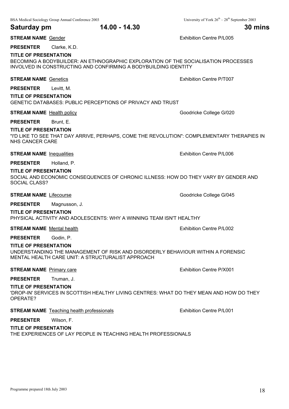**STREAM NAME** Gender **Exhibition Centre P/L005** 

**PRESENTER** Clarke, K.D.

#### **TITLE OF PRESENTATION**

BECOMING A BODYBUILDER: AN ETHNOGRAPHIC EXPLORATION OF THE SOCIALISATION PROCESSES INVOLVED IN CONSTRUCTING AND CONFIRMING A BODYBUILDING IDENTITY

#### **STREAM NAME** Genetics **Exhibition Centre P/T007**

**PRESENTER** Levitt, M.

#### **TITLE OF PRESENTATION**

GENETIC DATABASES: PUBLIC PERCEPTIONS OF PRIVACY AND TRUST

#### **STREAM NAME** Health policy **Goodricke College G/020** Goodricke College G/020

#### **PRESENTER** Brunt, E.

#### **TITLE OF PRESENTATION**

"I'D LIKE TO SEE THAT DAY ARRIVE, PERHAPS, COME THE REVOLUTION": COMPLEMENTARY THERAPIES IN NHS CANCER CARE

#### **STREAM NAME** Inequalities **EXHIBITION** Exhibition Centre P/L006

#### **PRESENTER** Holland, P.

#### **TITLE OF PRESENTATION**

SOCIAL AND ECONOMIC CONSEQUENCES OF CHRONIC ILLNESS: HOW DO THEY VARY BY GENDER AND SOCIAL CLASS?

**STREAM NAME** Lifecourse **Goodricke College G/045** 

#### **PRESENTER** Magnusson, J.

#### **TITLE OF PRESENTATION**

PHYSICAL ACTIVITY AND ADOLESCENTS: WHY A WINNING TEAM ISN'T HEALTHY

**STREAM NAME** Mental health **Exhibition Centre P/L002** 

#### **PRESENTER** Godin, P.

#### **TITLE OF PRESENTATION**

UNDERSTANDING THE MANAGEMENT OF RISK AND DISORDERLY BEHAVIOUR WITHIN A FORENSIC MENTAL HEALTH CARE UNIT: A STRUCTURALIST APPROACH

#### **STREAM NAME** Primary care **Exhibition Centre P/X001**

#### **PRESENTER** Truman, J.

#### **TITLE OF PRESENTATION**

'DROP-IN' SERVICES IN SCOTTISH HEALTHY LIVING CENTRES: WHAT DO THEY MEAN AND HOW DO THEY OPERATE?

#### **STREAM NAME** Teaching health professionals **EXHIBITION** Exhibition Centre P/L001

#### **PRESENTER** Wilson, F.

#### **TITLE OF PRESENTATION**

THE EXPERIENCES OF LAY PEOPLE IN TEACHING HEALTH PROFESSIONALS

#### BSA Medical Sociology Group Annual Conference 2003 University of York 26<sup>th</sup> – 28<sup>th</sup> September 2003

**Saturday pm 14.00 - 14.30 30 mins**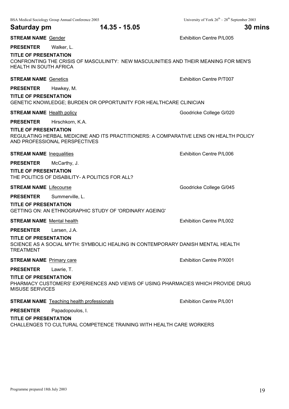|                                                               | BSA Medical Sociology Group Annual Conference 2003                                                                     | University of York $26^{th} - 28^{th}$ September 2003 |
|---------------------------------------------------------------|------------------------------------------------------------------------------------------------------------------------|-------------------------------------------------------|
| Saturday pm                                                   | 14.35 - 15.05                                                                                                          | 30 mins                                               |
| <b>STREAM NAME Gender</b>                                     |                                                                                                                        | Exhibition Centre P/L005                              |
| <b>PRESENTER</b>                                              | Walker, L.                                                                                                             |                                                       |
| <b>TITLE OF PRESENTATION</b><br><b>HEALTH IN SOUTH AFRICA</b> | CONFRONTING THE CRISIS OF MASCULINITY: NEW MASCULINITIES AND THEIR MEANING FOR MEN'S                                   |                                                       |
| <b>STREAM NAME Genetics</b>                                   |                                                                                                                        | Exhibition Centre P/T007                              |
| <b>PRESENTER</b>                                              | Hawkey, M.                                                                                                             |                                                       |
| <b>TITLE OF PRESENTATION</b>                                  | GENETIC KNOWLEDGE; BURDEN OR OPPORTUNITY FOR HEALTHCARE CLINICIAN                                                      |                                                       |
| <b>STREAM NAME</b> Health policy                              |                                                                                                                        | Goodricke College G/020                               |
| <b>PRESENTER</b>                                              | Hirschkorn, K.A.                                                                                                       |                                                       |
| <b>TITLE OF PRESENTATION</b>                                  | REGULATING HERBAL MEDICINE AND ITS PRACTITIONERS: A COMPARATIVE LENS ON HEALTH POLICY<br>AND PROFESSIONAL PERSPECTIVES |                                                       |
| <b>STREAM NAME</b> Inequalities                               |                                                                                                                        | <b>Exhibition Centre P/L006</b>                       |
| <b>PRESENTER</b>                                              | McCarthy, J.                                                                                                           |                                                       |
| <b>TITLE OF PRESENTATION</b>                                  | THE POLITICS OF DISABILITY- A POLITICS FOR ALL?                                                                        |                                                       |
| <b>STREAM NAME Lifecourse</b>                                 |                                                                                                                        | Goodricke College G/045                               |
| <b>PRESENTER</b>                                              | Summerville, L.                                                                                                        |                                                       |
| <b>TITLE OF PRESENTATION</b>                                  | GETTING ON: AN ETHNOGRAPHIC STUDY OF 'ORDINARY AGEING'                                                                 |                                                       |
| <b>STREAM NAME</b> Mental health                              |                                                                                                                        | Exhibition Centre P/L002                              |
| <b>PRESENTER</b>                                              | Larsen, J.A.                                                                                                           |                                                       |
| <b>TITLE OF PRESENTATION</b><br><b>TREATMENT</b>              | SCIENCE AS A SOCIAL MYTH: SYMBOLIC HEALING IN CONTEMPORARY DANISH MENTAL HEALTH                                        |                                                       |
| <b>STREAM NAME</b> Primary care                               |                                                                                                                        | Exhibition Centre P/X001                              |
| <b>PRESENTER</b>                                              | Lawrie, T.                                                                                                             |                                                       |
| <b>TITLE OF PRESENTATION</b><br><b>MISUSE SERVICES</b>        | PHARMACY CUSTOMERS' EXPERIENCES AND VIEWS OF USING PHARMACIES WHICH PROVIDE DRUG                                       |                                                       |
|                                                               | <b>STREAM NAME</b> Teaching health professionals                                                                       | <b>Exhibition Centre P/L001</b>                       |
| <b>PRESENTER</b>                                              | Papadopoulos, I.                                                                                                       |                                                       |
| <b>TITLE OF PRESENTATION</b>                                  | CHALLENGES TO CULTURAL COMPETENCE TRAINING WITH HEALTH CARE WORKERS                                                    |                                                       |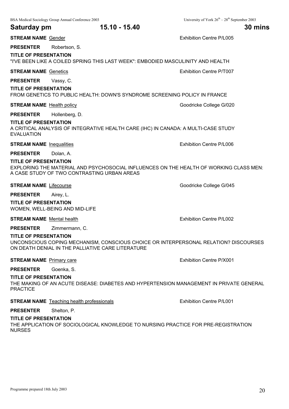|  | BSA Medical Sociology Group Annual Conference 2003 |  |
|--|----------------------------------------------------|--|
|--|----------------------------------------------------|--|

**Saturday pm 15.10 - 15.40 30 mins**

**STREAM NAME** Gender **Exhibition Centre P/L005** 

**PRESENTER** Robertson, S.

**TITLE OF PRESENTATION**

"I'VE BEEN LIKE A COILED SPRING THIS LAST WEEK": EMBODIED MASCULINITY AND HEALTH

**STREAM NAME** Genetics **Exhibition Centre P/T007** 

**PRESENTER** Vassy, C.

#### **TITLE OF PRESENTATION**

FROM GENETICS TO PUBLIC HEALTH: DOWN'S SYNDROME SCREENING POLICY IN FRANCE

#### **STREAM NAME** Health policy **Goodricke College G/020** Goodricke College G/020

**PRESENTER** Hollenberg, D.

#### **TITLE OF PRESENTATION**

A CRITICAL ANALYSIS OF INTEGRATIVE HEALTH CARE (IHC) IN CANADA: A MULTI-CASE STUDY EVALUATION

**STREAM NAME** Inequalities **EXHIBITION** Exhibition Centre P/L006

#### **PRESENTER** Dolan, A.

**TITLE OF PRESENTATION**

EXPLORING THE MATERIAL AND PSYCHOSOCIAL INFLUENCES ON THE HEALTH OF WORKING CLASS MEN: A CASE STUDY OF TWO CONTRASTING URBAN AREAS

**STREAM NAME** Lifecourse **Goodricke College G/045** 

**PRESENTER** Airey, L.

**TITLE OF PRESENTATION** WOMEN, WELL-BEING AND MID-LIFE

**STREAM NAME** Mental health **Exhibition Centre P/L002** 

**PRESENTER** Zimmermann, C.

#### **TITLE OF PRESENTATION**

UNCONSCIOUS COPING MECHANISM, CONSCIOUS CHOICE OR INTERPERSONAL RELATION? DISCOURSES ON DEATH DENIAL IN THE PALLIATIVE CARE LITERATURE

#### **STREAM NAME** Primary care **Exhibition Centre P/X001**

#### **PRESENTER** Goenka, S.

#### **TITLE OF PRESENTATION**

THE MAKING OF AN ACUTE DISEASE: DIABETES AND HYPERTENSION MANAGEMENT IN PRIVATE GENERAL **PRACTICE** 

**STREAM NAME** Teaching health professionals **EXHIP 1001** Exhibition Centre P/L001

### **PRESENTER** Shelton, P.

#### **TITLE OF PRESENTATION**

THE APPLICATION OF SOCIOLOGICAL KNOWLEDGE TO NURSING PRACTICE FOR PRE-REGISTRATION NURSES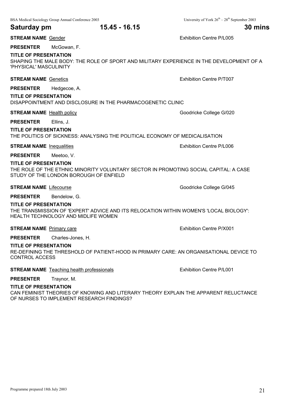#### **Saturday pm 15.45 - 16.15 30 mins**

**STREAM NAME** Gender **Exhibition Centre P/L005** 

#### **PRESENTER** McGowan, F.

#### **TITLE OF PRESENTATION**

SHAPING THE MALE BODY: THE ROLE OF SPORT AND MILITARY EXPERIENCE IN THE DEVELOPMENT OF A 'PHYSICAL' MASCULINITY

#### **STREAM NAME** Genetics **Exhibition Centre P/T007**

**PRESENTER** Hedgecoe, A.

#### **TITLE OF PRESENTATION**

#### DISAPPOINTMENT AND DISCLOSURE IN THE PHARMACOGENETIC CLINIC

**STREAM NAME** Health policy **Goodricke College G/020** Goodricke College G/020

#### **PRESENTER** Ellins, J.

**TITLE OF PRESENTATION**

THE POLITICS OF SICKNESS: ANALYSING THE POLITICAL ECONOMY OF MEDICALISATION

**STREAM NAME** Inequalities **Exhibition Centre P/L006** 

**PRESENTER** Meetoo, V.

#### **TITLE OF PRESENTATION**

THE ROLE OF THE ETHNIC MINORITY VOLUNTARY SECTOR IN PROMOTING SOCIAL CAPITAL: A CASE STUDY OF THE LONDON BOROUGH OF ENFIELD

**STREAM NAME** Lifecourse **Goodricke College G/045** 

**PRESENTER** Bendelow, G.

#### **TITLE OF PRESENTATION**

THE TRANSMISSION OF 'EXPERT' ADVICE AND ITS RELOCATION WITHIN WOMEN'S 'LOCAL BIOLOGY': HEALTH TECHNOLOGY AND MIDLIFE WOMEN

**STREAM NAME** Primary care **Exhibition Centre P/X001** 

**PRESENTER** Charles-Jones, H.

#### **TITLE OF PRESENTATION**

RE-DEFINING THE THRESHOLD OF PATIENT-HOOD IN PRIMARY CARE: AN ORGANISATIONAL DEVICE TO CONTROL ACCESS

**STREAM NAME** Teaching health professionals **EXHIP STREAM NAME** P/L001

#### **PRESENTER** Traynor, M.

#### **TITLE OF PRESENTATION**

CAN FEMINIST THEORIES OF KNOWING AND LITERARY THEORY EXPLAIN THE APPARENT RELUCTANCE OF NURSES TO IMPLEMENT RESEARCH FINDINGS?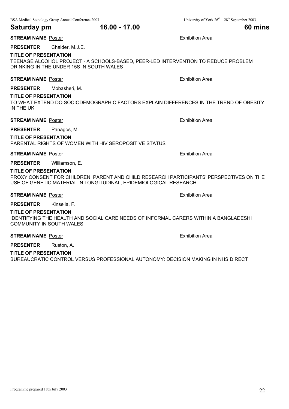#### **Saturday pm 16.00 - 17.00 60 mins**

#### **STREAM NAME** Poster **Exhibition Area Exhibition Area**

#### **PRESENTER** Chalder, M.J.E.

#### **TITLE OF PRESENTATION**

TEENAGE ALCOHOL PROJECT - A SCHOOLS-BASED, PEER-LED INTERVENTION TO REDUCE PROBLEM DRINKING IN THE UNDER 15S IN SOUTH WALES

#### **STREAM NAME** Poster **Exhibition Area Exhibition Area**

**PRESENTER** Mobasheri, M.

#### **TITLE OF PRESENTATION**

TO WHAT EXTEND DO SOCIODEMOGRAPHIC FACTORS EXPLAIN DIFFERENCES IN THE TREND OF OBESITY IN THE UK

#### **STREAM NAME** Poster **Exhibition Area** Exhibition Area

#### **PRESENTER** Panagos, M.

#### **TITLE OF PRESENTATION**

PARENTAL RIGHTS OF WOMEN WITH HIV SEROPOSITIVE STATUS

#### **STREAM NAME** Poster **Exhibition Area Exhibition Area Exhibition Area**

#### **PRESENTER** Williamson, E.

#### **TITLE OF PRESENTATION**

PROXY CONSENT FOR CHILDREN: PARENT AND CHILD RESEARCH PARTICIPANTS' PERSPECTIVES ON THE USE OF GENETIC MATERIAL IN LONGITUDINAL, EPIDEMIOLOGICAL RESEARCH

#### **STREAM NAME** Poster **Exhibition** Area

**PRESENTER** Kinsella, F.

#### **TITLE OF PRESENTATION**

IDENTIFYING THE HEALTH AND SOCIAL CARE NEEDS OF INFORMAL CARERS WITHIN A BANGLADESHI COMMUNITY IN SOUTH WALES

#### **STREAM NAME** Poster **Exhibition Area Exhibition Area**

**PRESENTER** Ruston, A.

#### **TITLE OF PRESENTATION**

BUREAUCRATIC CONTROL VERSUS PROFESSIONAL AUTONOMY: DECISION MAKING IN NHS DIRECT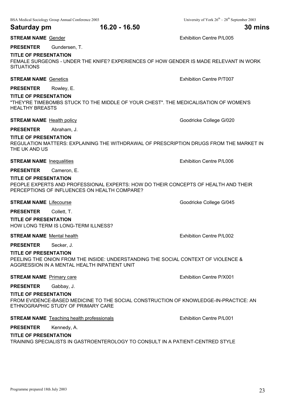#### **TITLE OF PRESENTATION**

**PRESENTER** Gundersen, T.

FEMALE SURGEONS - UNDER THE KNIFE? EXPERIENCES OF HOW GENDER IS MADE RELEVANT IN WORK **SITUATIONS** 

#### **STREAM NAME** Genetics **Exhibition Centre P/T007**

**PRESENTER** Rowley, E.

#### **TITLE OF PRESENTATION**

"THEY'RE TIMEBOMBS STUCK TO THE MIDDLE OF YOUR CHEST". THE MEDICALISATION OF WOMEN'S HEALTHY BREASTS

#### **STREAM NAME** Health policy **Goodricke College G/020** Goodricke College G/020

#### **PRESENTER** Abraham, J.

#### **TITLE OF PRESENTATION**

REGULATION MATTERS: EXPLAINING THE WITHDRAWAL OF PRESCRIPTION DRUGS FROM THE MARKET IN THE UK AND US

**STREAM NAME** Inequalities **EXHIBITION CENTREAM NAME** Inequalities

**PRESENTER** Cameron, E.

#### **TITLE OF PRESENTATION**

PEOPLE EXPERTS AND PROFESSIONAL EXPERTS: HOW DO THEIR CONCEPTS OF HEALTH AND THEIR PERCEPTIONS OF INFLUENCES ON HEALTH COMPARE?

**STREAM NAME** Lifecourse **Goodricke College G/045** 

**PRESENTER** Collett, T.

**TITLE OF PRESENTATION** HOW LONG TERM IS LONG-TERM ILLNESS?

**STREAM NAME** Mental health **Exhibition Centre P/L002** 

**PRESENTER** Secker, J.

#### **TITLE OF PRESENTATION**

PEELING THE ONION FROM THE INSIDE: UNDERSTANDING THE SOCIAL CONTEXT OF VIOLENCE & AGGRESSION IN A MENTAL HEALTH INPATIENT UNIT

#### **STREAM NAME** Primary care **Exhibition Centre P/X001**

**PRESENTER** Gabbay, J.

#### **TITLE OF PRESENTATION**

FROM EVIDENCE-BASED MEDICINE TO THE SOCIAL CONSTRUCTION OF KNOWLEDGE-IN-PRACTICE: AN ETHNOGRAPHIC STUDY OF PRIMARY CARE

**STREAM NAME** Teaching health professionals **EXHIBITION** Exhibition Centre P/L001

#### **PRESENTER** Kennedy, A.

#### **TITLE OF PRESENTATION**

TRAINING SPECIALISTS IN GASTROENTEROLOGY TO CONSULT IN A PATIENT-CENTRED STYLE

**STREAM NAME** Gender **Exhibition Centre P/L005**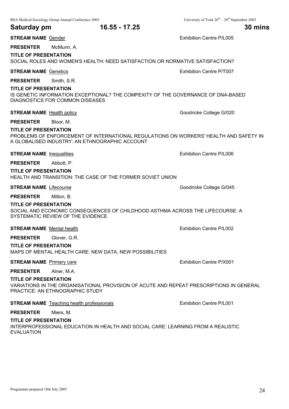| Saturday pm                                       | 16.55 - 17.25                                                                                                                           | 30 mins                         |
|---------------------------------------------------|-----------------------------------------------------------------------------------------------------------------------------------------|---------------------------------|
| <b>STREAM NAME Gender</b>                         |                                                                                                                                         | <b>Exhibition Centre P/L005</b> |
| <b>PRESENTER</b>                                  | McMunn, A.                                                                                                                              |                                 |
| <b>TITLE OF PRESENTATION</b>                      | SOCIAL ROLES AND WOMEN'S HEALTH: NEED SATISFACTION OR NORMATIVE SATISFACTION?                                                           |                                 |
| <b>STREAM NAME Genetics</b>                       |                                                                                                                                         | Exhibition Centre P/T007        |
| <b>PRESENTER</b>                                  | Smith, S.R.                                                                                                                             |                                 |
| <b>TITLE OF PRESENTATION</b>                      | IS GENETIC INFORMATION EXCEPTIONAL? THE COMPEXITY OF THE GOVERNANCE OF DNA-BASED<br>DIAGNOSTICS FOR COMMON DISEASES                     |                                 |
| <b>STREAM NAME</b> Health policy                  |                                                                                                                                         | Goodricke College G/020         |
| <b>PRESENTER</b>                                  | Bloor, M.                                                                                                                               |                                 |
| <b>TITLE OF PRESENTATION</b>                      | PROBLEMS OF ENFORCEMENT OF INTERNATIONAL REGULATIONS ON WORKERS' HEALTH AND SAFETY IN<br>A GLOBALISED INDUSTRY: AN ETHNOGRAPHIC ACCOUNT |                                 |
| <b>STREAM NAME</b> Inequalities                   |                                                                                                                                         | Exhibition Centre P/L006        |
| <b>PRESENTER</b>                                  | Abbott, P.                                                                                                                              |                                 |
| <b>TITLE OF PRESENTATION</b>                      | HEALTH AND TRANSITION: THE CASE OF THE FORMER SOVIET UNION                                                                              |                                 |
| <b>STREAM NAME Lifecourse</b>                     |                                                                                                                                         | Goodricke College G/045         |
| <b>PRESENTER</b>                                  | Milton, B.                                                                                                                              |                                 |
| <b>TITLE OF PRESENTATION</b>                      | SOCIAL AND ECONOMIC CONSEQUENCES OF CHILDHOOD ASTHMA ACROSS THE LIFECOURSE: A<br>SYSTEMATIC REVIEW OF THE EVIDENCE                      |                                 |
| <b>STREAM NAME</b> Mental health                  |                                                                                                                                         | Exhibition Centre P/L002        |
| <b>PRESENTER</b>                                  | Glover, G.R.                                                                                                                            |                                 |
| <b>TITLE OF PRESENTATION</b>                      | MAPS OF MENTAL HEALTH CARE: NEW DATA, NEW POSSIBILITIES                                                                                 |                                 |
| <b>STREAM NAME</b> Primary care                   |                                                                                                                                         | Exhibition Centre P/X001        |
| <b>PRESENTER</b>                                  | Alner, M.A.                                                                                                                             |                                 |
| <b>TITLE OF PRESENTATION</b>                      | VARIATIONS IN THE ORGANISATIONAL PROVISION OF ACUTE AND REPEAT PRESCRIPTIONS IN GENERAL<br>PRACTICE: AN ETHNOGRAPHIC STUDY              |                                 |
|                                                   | <b>STREAM NAME</b> Teaching health professionals                                                                                        | <b>Exhibition Centre P/L001</b> |
| <b>PRESENTER</b>                                  | Miers, M.                                                                                                                               |                                 |
| <b>TITLE OF PRESENTATION</b><br><b>EVALUATION</b> | INTERPROFESSIONAL EDUCATION IN HEALTH AND SOCIAL CARE: LEARNING FROM A REALISTIC                                                        |                                 |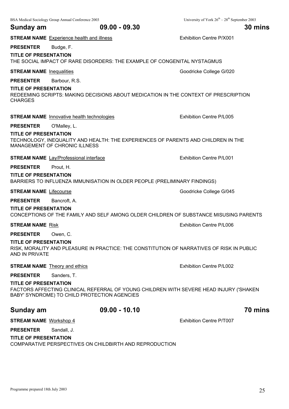| Sunday am                                        | $09.00 - 09.30$                                                                                                                        | 30 mins                         |
|--------------------------------------------------|----------------------------------------------------------------------------------------------------------------------------------------|---------------------------------|
|                                                  | <b>STREAM NAME</b> Experience health and illness                                                                                       | Exhibition Centre P/X001        |
| <b>PRESENTER</b><br><b>TITLE OF PRESENTATION</b> | Budge, F.<br>THE SOCIAL IMPACT OF RARE DISORDERS: THE EXAMPLE OF CONGENITAL NYSTAGMUS                                                  |                                 |
| <b>STREAM NAME</b> Inequalities                  |                                                                                                                                        | Goodricke College G/020         |
| <b>PRESENTER</b>                                 | Barbour, R.S.                                                                                                                          |                                 |
| <b>TITLE OF PRESENTATION</b><br><b>CHARGES</b>   | REDEEMING SCRIPTS: MAKING DECISIONS ABOUT MEDICATION IN THE CONTEXT OF PRESCRIPTION                                                    |                                 |
|                                                  | <b>STREAM NAME</b> Innovative health technologies                                                                                      | <b>Exhibition Centre P/L005</b> |
| <b>PRESENTER</b>                                 | O'Malley, L.                                                                                                                           |                                 |
| <b>TITLE OF PRESENTATION</b>                     | TECHNOLOGY, INEQUALITY AND HEALTH: THE EXPERIENCES OF PARENTS AND CHILDREN IN THE<br><b>MANAGEMENT OF CHRONIC ILLNESS</b>              |                                 |
|                                                  | <b>STREAM NAME</b> Lay/Professional interface                                                                                          | Exhibition Centre P/L001        |
| <b>PRESENTER</b>                                 | Prout, H.                                                                                                                              |                                 |
| <b>TITLE OF PRESENTATION</b>                     | BARRIERS TO INFLUENZA IMMUNISATION IN OLDER PEOPLE (PRELIMINARY FINDINGS)                                                              |                                 |
| <b>STREAM NAME</b> Lifecourse                    |                                                                                                                                        | Goodricke College G/045         |
| <b>PRESENTER</b>                                 | Bancroft, A.                                                                                                                           |                                 |
| <b>TITLE OF PRESENTATION</b>                     | CONCEPTIONS OF THE FAMILY AND SELF AMONG OLDER CHILDREN OF SUBSTANCE MISUSING PARENTS                                                  |                                 |
| <b>STREAM NAME Risk</b>                          |                                                                                                                                        | <b>Exhibition Centre P/L006</b> |
| <b>PRESENTER</b>                                 | Owen, C.                                                                                                                               |                                 |
| <b>TITLE OF PRESENTATION</b><br>AND IN PRIVATE   | RISK, MORALITY AND PLEASURE IN PRACTICE: THE CONSTITUTION OF NARRATIVES OF RISK IN PUBLIC                                              |                                 |
|                                                  | <b>STREAM NAME</b> Theory and ethics                                                                                                   | <b>Exhibition Centre P/L002</b> |
| <b>PRESENTER</b>                                 | Sanders, T.                                                                                                                            |                                 |
| <b>TITLE OF PRESENTATION</b>                     | FACTORS AFFECTING CLINICAL REFERRAL OF YOUNG CHILDREN WITH SEVERE HEAD INJURY ('SHAKEN<br>BABY' SYNDROME) TO CHILD PROTECTION AGENCIES |                                 |
| Sunday am                                        | $09.00 - 10.10$                                                                                                                        | 70 mins                         |
| <b>STREAM NAME Workshop 4</b>                    |                                                                                                                                        | Exhibition Centre P/T007        |
| <b>PRESENTER</b>                                 | Sandall, J.                                                                                                                            |                                 |
| <b>TITLE OF PRESENTATION</b>                     |                                                                                                                                        |                                 |

COMPARATIVE PERSPECTIVES ON CHILDBIRTH AND REPRODUCTION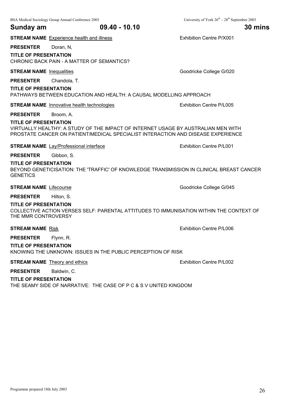#### **Sunday am 09.40 - 10.10 30 mins**

**STREAM NAME** Experience health and illness **EXALL EXAMPLE EXAMPLE 2001** Exhibition Centre P/X001

**PRESENTER** Doran, N.

#### **TITLE OF PRESENTATION**

CHRONIC BACK PAIN - A MATTER OF SEMANTICS?

**STREAM NAME** Inequalities **Goodricke College G/020** 

**PRESENTER** Chandola, T.

#### **TITLE OF PRESENTATION**

PATHWAYS BETWEEN EDUCATION AND HEALTH: A CAUSAL MODELLING APPROACH

**STREAM NAME** Innovative health technologies **Exhibition Centre P/L005** 

#### **PRESENTER** Broom, A.

#### **TITLE OF PRESENTATION**

VIRTUALLY HEALTHY: A STUDY OF THE IMPACT OF INTERNET USAGE BY AUSTRALIAN MEN WITH PROSTATE CANCER ON PATIENT/MEDICAL SPECIALIST INTERACTION AND DISEASE EXPERIENCE

**STREAM NAME** Lay/Professional interface Exhibition Centre P/L001

**PRESENTER** Gibbon, S.

**TITLE OF PRESENTATION**

BEYOND GENETICISATION: THE 'TRAFFIC' OF KNOWLEDGE TRANSMISSION IN CLINICAL BREAST CANCER **GENETICS** 

**STREAM NAME** Lifecourse **Goodricke College G/045** 

**PRESENTER** Hilton, S.

#### **TITLE OF PRESENTATION**

COLLECTIVE ACTION VERSES SELF: PARENTAL ATTITUDES TO IMMUNISATION WITHIN THE CONTEXT OF THE MMR CONTROVERSY

#### **STREAM NAME** Risk **Exhibition Centre P/L006**

**PRESENTER** Flynn, R. **TITLE OF PRESENTATION**

KNOWING THE UNKNOWN: ISSUES IN THE PUBLIC PERCEPTION OF RISK

#### **STREAM NAME** Theory and ethics **EXHIBITION CENTRE EXHIBITION** Exhibition Centre P/L002

**PRESENTER** Baldwin, C.

#### **TITLE OF PRESENTATION**

THE SEAMY SIDE OF NARRATIVE: THE CASE OF P C & S V UNITED KINGDOM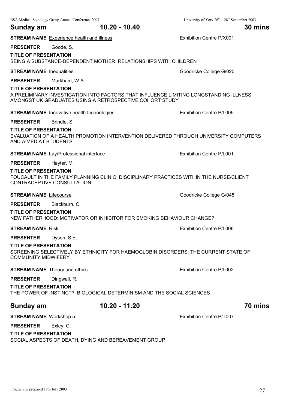**PRESENTER** Goode, S. **TITLE OF PRESENTATION**

BEING A SUBSTANCE-DEPENDENT MOTHER: RELATIONSHIPS WITH CHILDREN

**STREAM NAME** Inequalities **Goodricke College G/020** 

**PRESENTER** Markham, W.A.

#### **TITLE OF PRESENTATION**

A PRELIMINARY INVESTIGATION INTO FACTORS THAT INFLUENCE LIMITING LONGSTANDING ILLNESS AMONGST UK GRADUATES USING A RETROSPECTIVE COHORT STUDY

#### **STREAM NAME** Innovative health technologies **EXHIP INCIPED MAGNET EXHIBITION** Exhibition Centre P/L005

#### **PRESENTER** Brindle, S.

#### **TITLE OF PRESENTATION**

EVALUATION OF A HEALTH PROMOTION INTERVENTION DELIVERED THROUGH UNIVERSITY COMPUTERS AND AIMED AT STUDENTS

#### **STREAM NAME** Lay/Professional interface **Exhibition Centre P/L001**

### **PRESENTER** Hayter, M.

#### **TITLE OF PRESENTATION**

FOUCAULT IN THE FAMILY PLANNING CLINIC: DISCIPLINARY PRACTICES WITHIN THE NURSE/CLIENT CONTRACEPTIVE CONSULTATION

**STREAM NAME** Lifecourse **Goodricke College G/045** 

**PRESENTER** Blackburn, C.

### **TITLE OF PRESENTATION**

NEW FATHERHOOD: MOTIVATOR OR INHIBITOR FOR SMOKING BEHAVIOUR CHANGE?

**STREAM NAME** Risk **Exhibition Centre P/L006** 

**PRESENTER** Dyson, S.E.

#### **TITLE OF PRESENTATION**

SCREENING SELECTIVELY BY ETHNICITY FOR HAEMOGLOBIN DISORDERS: THE CURRENT STATE OF COMMUNITY MIDWIFERY

#### **STREAM NAME** Theory and ethics **Exhibition Centre P/L002**

### **PRESENTER** Dingwall, R.

#### **TITLE OF PRESENTATION**

THE POWER OF INSTINCT? BIOLOGICAL DETERMINISM AND THE SOCIAL SCIENCES

### **Sunday am 10.20 - 11.20 70 mins**

#### **STREAM NAME** Workshop 5 **EXHIBITION CENTREAM NAME** Workshop 5

**PRESENTER** Exley, C.

**TITLE OF PRESENTATION**

SOCIAL ASPECTS OF DEATH, DYING AND BEREAVEMENT GROUP

## **Sunday am 10.20 - 10.40 30 mins**

**STREAM NAME** Experience health and illness **EXALL EXAMPLE EXAMPLE 2001** Exhibition Centre P/X001